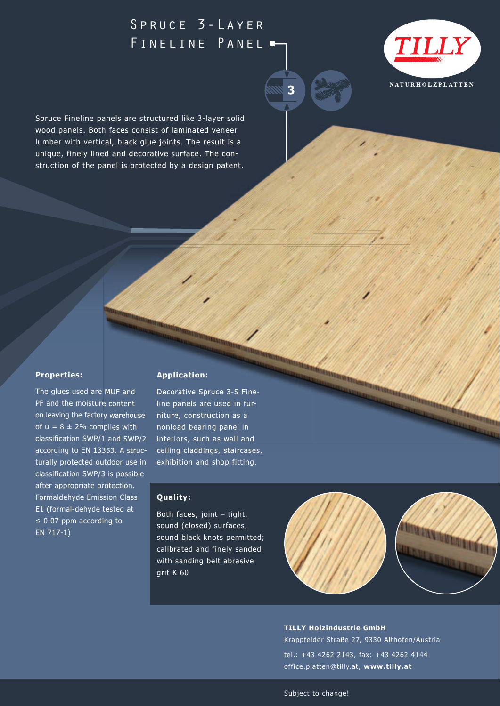## Spruce 3-Layer FINELINE PANEL -



Spruce Fineline panels are structured like 3-layer solid wood panels. Both faces consist of laminated veneer lumber with vertical, black glue joints. The result is a unique, finely lined and decorative surface. The construction of the panel is protected by a design patent.

## **Properties:**

The glues used are MUF and PF and the moisture content on leaving the factory warehouse of  $u = 8 \pm 2\%$  complies with classification SWP/1 and SWP/2 according to EN 13353. A structurally protected outdoor use in classification SWP/3 is possible after appropriate protection. Formaldehyde Emission Class E1 (formal-dehyde tested at ≤ 0.07 ppm according to EN 717-1)

## **Application:**

Decorative Spruce 3-S Fineline panels are used in furniture, construction as a nonload bearing panel in interiors, such as wall and ceiling claddings, staircases, exhibition and shop fitting.

## **Quality:**

Both faces, joint – tight, sound (closed) surfaces, sound black knots permitted; calibrated and finely sanded with sanding belt abrasive grit K 60



**TILLY Holzindustrie GmbH** Krappfelder Straße 27, 9330 Althofen/Austria tel.: +43 4262 2143, fax: +43 4262 4144 office.platten@tilly.at, **www.tilly.at**